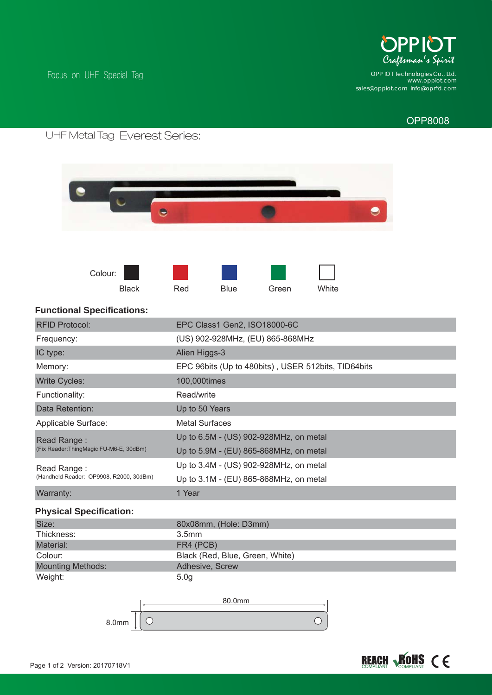

*www.oppiot.com sales@oppiot.com info@oprfi d.com OPP IOT Technologies Co., Ltd.*

## OPP8008

# Everest Series:

Focus on UHF Special Tag





#### **Functional Specifications:**

| <b>RFID Protocol:</b>                                  | EPC Class1 Gen2, ISO18000-6C                        |
|--------------------------------------------------------|-----------------------------------------------------|
| Frequency:                                             | (US) 902-928MHz, (EU) 865-868MHz                    |
| IC type:                                               | Alien Higgs-3                                       |
| Memory:                                                | EPC 96bits (Up to 480bits), USER 512bits, TID64bits |
| <b>Write Cycles:</b>                                   | 100,000times                                        |
| Functionality:                                         | Read/write                                          |
| Data Retention:                                        | Up to 50 Years                                      |
| Applicable Surface:                                    | <b>Metal Surfaces</b>                               |
| Read Range:<br>(Fix Reader:ThingMagic FU-M6-E, 30dBm)  | Up to 6.5M - (US) 902-928MHz, on metal              |
|                                                        | Up to 5.9M - (EU) 865-868MHz, on metal              |
| Read Range:<br>(Handheld Reader: OP9908, R2000, 30dBm) | Up to 3.4M - (US) 902-928MHz, on metal              |
|                                                        | Up to 3.1M - (EU) 865-868MHz, on metal              |
| Warranty:                                              | 1 Year                                              |
| <b>Physical Specification:</b>                         |                                                     |
| Size:                                                  | 80x08mm, (Hole: D3mm)                               |
| Thickness:                                             | 3.5 <sub>mm</sub>                                   |
| Material:                                              | FR4 (PCB)                                           |
| Colour:                                                | Black (Red, Blue, Green, White)                     |
| <b>Mounting Methods:</b>                               | Adhesive, Screw                                     |

Weight: 5.0g

80.0mm $\bigcirc$  $\bigcirc$ 8.0mm

# **REACH ROHS CE**